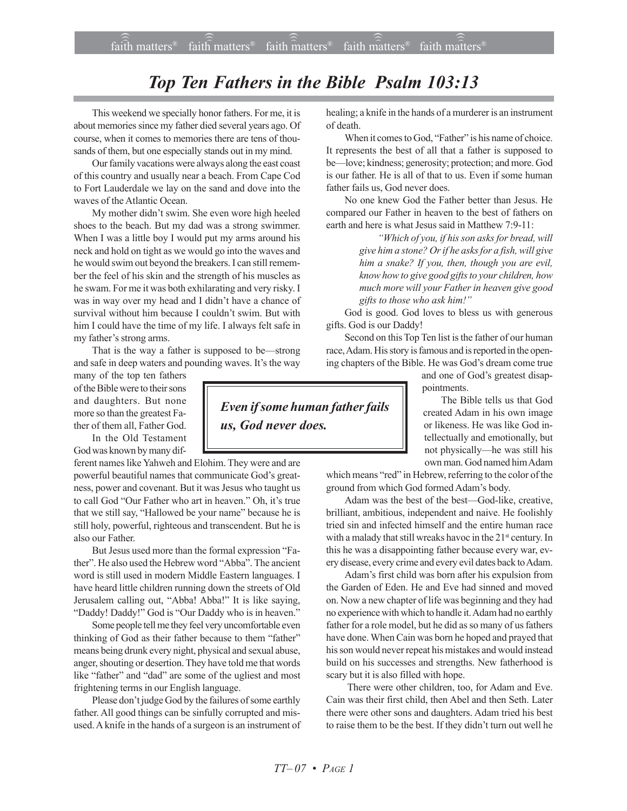## *Top Ten Fathers in the Bible Psalm 103:13*

This weekend we specially honor fathers. For me, it is about memories since my father died several years ago. Of course, when it comes to memories there are tens of thousands of them, but one especially stands out in my mind.

Our family vacations were always along the east coast of this country and usually near a beach. From Cape Cod to Fort Lauderdale we lay on the sand and dove into the waves of the Atlantic Ocean.

My mother didn't swim. She even wore high heeled shoes to the beach. But my dad was a strong swimmer. When I was a little boy I would put my arms around his neck and hold on tight as we would go into the waves and he would swim out beyond the breakers. I can still remember the feel of his skin and the strength of his muscles as he swam. For me it was both exhilarating and very risky. I was in way over my head and I didn't have a chance of survival without him because I couldn't swim. But with him I could have the time of my life. I always felt safe in my father's strong arms.

That is the way a father is supposed to be—strong and safe in deep waters and pounding waves. It's the way

many of the top ten fathers of the Bible were to their sons and daughters. But none more so than the greatest Father of them all, Father God.

In the Old Testament God was known by many dif-

ferent names like Yahweh and Elohim. They were and are powerful beautiful names that communicate God's greatness, power and covenant. But it was Jesus who taught us to call God "Our Father who art in heaven." Oh, it's true that we still say, "Hallowed be your name" because he is still holy, powerful, righteous and transcendent. But he is also our Father.

But Jesus used more than the formal expression "Father". He also used the Hebrew word "Abba". The ancient word is still used in modern Middle Eastern languages. I have heard little children running down the streets of Old Jerusalem calling out, "Abba! Abba!" It is like saying, "Daddy! Daddy!" God is "Our Daddy who is in heaven."

Some people tell me they feel very uncomfortable even thinking of God as their father because to them "father" means being drunk every night, physical and sexual abuse, anger, shouting or desertion. They have told me that words like "father" and "dad" are some of the ugliest and most frightening terms in our English language.

Please don't judge God by the failures of some earthly father. All good things can be sinfully corrupted and misused. A knife in the hands of a surgeon is an instrument of healing; a knife in the hands of a murderer is an instrument of death.

When it comes to God, "Father" is his name of choice. It represents the best of all that a father is supposed to be—love; kindness; generosity; protection; and more. God is our father. He is all of that to us. Even if some human father fails us, God never does.

No one knew God the Father better than Jesus. He compared our Father in heaven to the best of fathers on earth and here is what Jesus said in Matthew 7:9-11:

> *ìWhich of you, if his son asks for bread, will give him a stone? Or if he asks for a fish, will give him a snake? If you, then, though you are evil, know how to give good gifts to your children, how much more will your Father in heaven give good* gifts to those who ask him!"

God is good. God loves to bless us with generous gifts. God is our Daddy!

Second on this Top Ten list is the father of our human race, Adam. His story is famous and is reported in the opening chapters of the Bible. He was God's dream come true

> and one of God's greatest disappointments.

> The Bible tells us that God created Adam in his own image or likeness. He was like God intellectually and emotionally, but not physically-he was still his own man. God named him Adam

which means "red" in Hebrew, referring to the color of the ground from which God formed Adam's body.

Adam was the best of the best-God-like, creative, brilliant, ambitious, independent and naive. He foolishly tried sin and infected himself and the entire human race with a malady that still wreaks havoc in the 21<sup>st</sup> century. In this he was a disappointing father because every war, every disease, every crime and every evil dates back to Adam.

Adam's first child was born after his expulsion from the Garden of Eden. He and Eve had sinned and moved on. Now a new chapter of life was beginning and they had no experience with which to handle it. Adam had no earthly father for a role model, but he did as so many of us fathers have done. When Cain was born he hoped and prayed that his son would never repeat his mistakes and would instead build on his successes and strengths. New fatherhood is scary but it is also filled with hope.

 There were other children, too, for Adam and Eve. Cain was their first child, then Abel and then Seth. Later there were other sons and daughters. Adam tried his best to raise them to be the best. If they didn't turn out well he

*Even if some human father fails us, God never does.*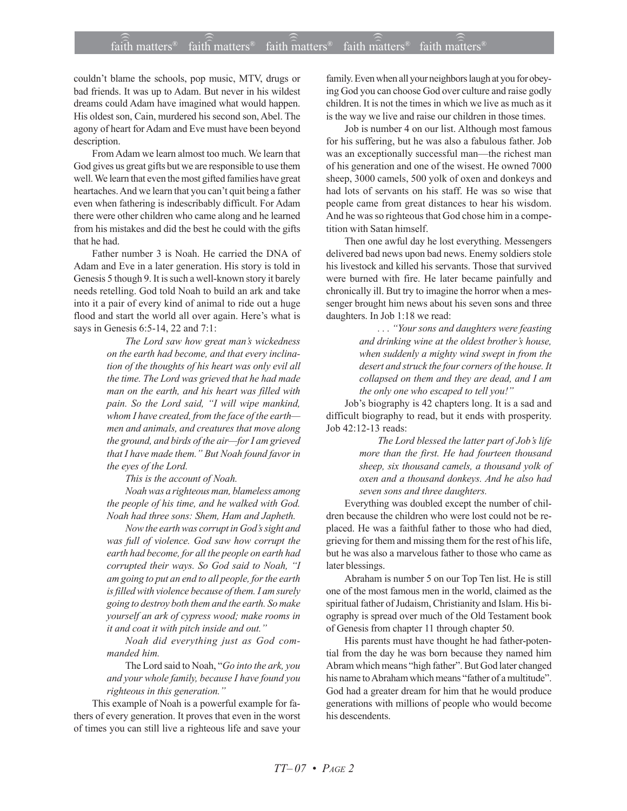## $\widehat{\widehat{\mathfrak{laid}}}$  matters® faith matters® faith matters® faith matters® faith matters® faith  $\widehat{\text{m}}$ atters<sup>®</sup> faith matters<sup>®</sup> )))

couldn't blame the schools, pop music, MTV, drugs or bad friends. It was up to Adam. But never in his wildest dreams could Adam have imagined what would happen. His oldest son, Cain, murdered his second son, Abel. The agony of heart for Adam and Eve must have been beyond description.

From Adam we learn almost too much. We learn that God gives us great gifts but we are responsible to use them well. We learn that even the most gifted families have great heartaches. And we learn that you can't quit being a father even when fathering is indescribably difficult. For Adam there were other children who came along and he learned from his mistakes and did the best he could with the gifts that he had.

Father number 3 is Noah. He carried the DNA of Adam and Eve in a later generation. His story is told in Genesis 5 though 9. It is such a well-known story it barely needs retelling. God told Noah to build an ark and take into it a pair of every kind of animal to ride out a huge flood and start the world all over again. Here's what is says in Genesis 6:5-14, 22 and 7:1:

> *The Lord saw how great manís wickedness on the earth had become, and that every inclination of the thoughts of his heart was only evil all the time. The Lord was grieved that he had made man on the earth, and his heart was filled with* pain. So the Lord said, "I will wipe mankind, *whom I have created, from the face of the earth men and animals, and creatures that move along the ground, and birds of the air-for I am grieved that I have made them.*" But Noah found favor in *the eyes of the Lord.*

*This is the account of Noah.*

*Noah was a righteous man, blameless among the people of his time, and he walked with God. Noah had three sons: Shem, Ham and Japheth.*

*Now the earth was corrupt in Godís sight and was full of violence. God saw how corrupt the earth had become, for all the people on earth had corrupted their ways. So God said to Noah, ìI am going to put an end to all people, for the earth is filled with violence because of them. I am surely going to destroy both them and the earth. So make yourself an ark of cypress wood; make rooms in it and coat it with pitch inside and out.*"

*Noah did everything just as God commanded him.*

The Lord said to Noah, "Go into the ark, you *and your whole family, because I have found you*  $righteous$  *in this generation.*"

This example of Noah is a powerful example for fathers of every generation. It proves that even in the worst of times you can still live a righteous life and save your family. Even when all your neighbors laugh at you for obeying God you can choose God over culture and raise godly children. It is not the times in which we live as much as it is the way we live and raise our children in those times.

Job is number 4 on our list. Although most famous for his suffering, but he was also a fabulous father. Job was an exceptionally successful man—the richest man of his generation and one of the wisest. He owned 7000 sheep, 3000 camels, 500 yolk of oxen and donkeys and had lots of servants on his staff. He was so wise that people came from great distances to hear his wisdom. And he was so righteous that God chose him in a competition with Satan himself.

Then one awful day he lost everything. Messengers delivered bad news upon bad news. Enemy soldiers stole his livestock and killed his servants. Those that survived were burned with fire. He later became painfully and chronically ill. But try to imagine the horror when a messenger brought him news about his seven sons and three daughters. In Job 1:18 we read:

> *. . . ìYour sons and daughters were feasting and drinking wine at the oldest brotherís house, when suddenly a mighty wind swept in from the desert and struck the four corners of the house. It collapsed on them and they are dead, and I am* the only one who escaped to tell you!"

Job's biography is 42 chapters long. It is a sad and difficult biography to read, but it ends with prosperity. Job 42:12-13 reads:

> *The Lord blessed the latter part of Jobís life more than the first. He had fourteen thousand sheep, six thousand camels, a thousand yolk of oxen and a thousand donkeys. And he also had seven sons and three daughters.*

Everything was doubled except the number of children because the children who were lost could not be replaced. He was a faithful father to those who had died, grieving for them and missing them for the rest of his life, but he was also a marvelous father to those who came as later blessings.

Abraham is number 5 on our Top Ten list. He is still one of the most famous men in the world, claimed as the spiritual father of Judaism, Christianity and Islam. His biography is spread over much of the Old Testament book of Genesis from chapter 11 through chapter 50.

His parents must have thought he had father-potential from the day he was born because they named him Abram which means "high father". But God later changed his name to Abraham which means "father of a multitude". God had a greater dream for him that he would produce generations with millions of people who would become his descendents.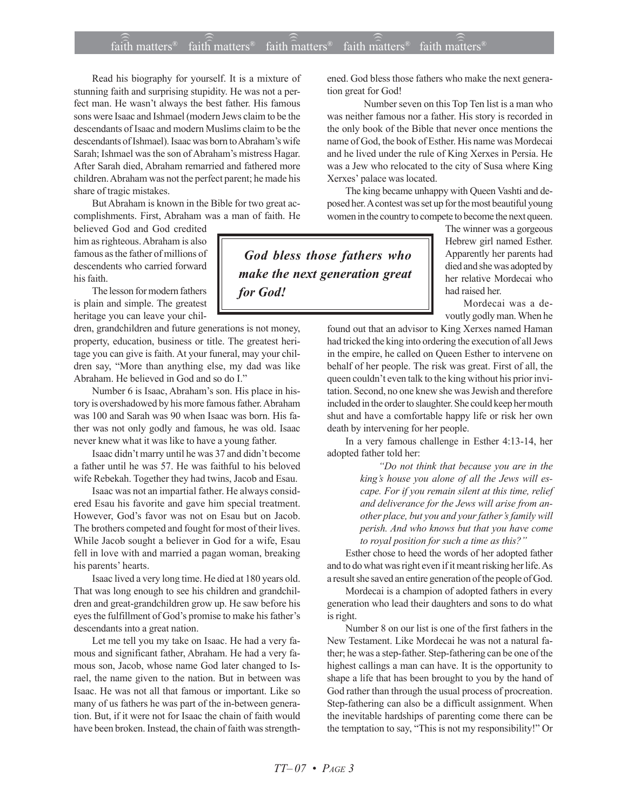## $\widehat{\widehat{\mathfrak{laid}}}$  matters® faith matters® faith matters® faith matters® faith matters® faith matters<sup>®</sup> faith matters<sup>®</sup> )))

Read his biography for yourself. It is a mixture of stunning faith and surprising stupidity. He was not a perfect man. He wasn't always the best father. His famous sons were Isaac and Ishmael (modern Jews claim to be the descendants of Isaac and modern Muslims claim to be the descendants of Ishmael). Isaac was born to Abraham's wife Sarah; Ishmael was the son of Abraham's mistress Hagar. After Sarah died, Abraham remarried and fathered more children. Abraham was not the perfect parent; he made his share of tragic mistakes.

But Abraham is known in the Bible for two great accomplishments. First, Abraham was a man of faith. He

believed God and God credited him as righteous. Abraham is also famous as the father of millions of descendents who carried forward his faith.

The lesson for modern fathers is plain and simple. The greatest heritage you can leave your chil-

dren, grandchildren and future generations is not money, property, education, business or title. The greatest heritage you can give is faith. At your funeral, may your children say, "More than anything else, my dad was like Abraham. He believed in God and so do I."

Number 6 is Isaac, Abraham's son. His place in history is overshadowed by his more famous father. Abraham was 100 and Sarah was 90 when Isaac was born. His father was not only godly and famous, he was old. Isaac never knew what it was like to have a young father.

Isaac didn't marry until he was 37 and didn't become a father until he was 57. He was faithful to his beloved wife Rebekah. Together they had twins, Jacob and Esau.

Isaac was not an impartial father. He always considered Esau his favorite and gave him special treatment. However, God's favor was not on Esau but on Jacob. The brothers competed and fought for most of their lives. While Jacob sought a believer in God for a wife, Esau fell in love with and married a pagan woman, breaking his parents' hearts.

Isaac lived a very long time. He died at 180 years old. That was long enough to see his children and grandchildren and great-grandchildren grow up. He saw before his eyes the fulfillment of God's promise to make his father's descendants into a great nation.

Let me tell you my take on Isaac. He had a very famous and significant father, Abraham. He had a very famous son, Jacob, whose name God later changed to Israel, the name given to the nation. But in between was Isaac. He was not all that famous or important. Like so many of us fathers he was part of the in-between generation. But, if it were not for Isaac the chain of faith would have been broken. Instead, the chain of faith was strengthened. God bless those fathers who make the next generation great for God!

Number seven on this Top Ten list is a man who was neither famous nor a father. His story is recorded in the only book of the Bible that never once mentions the name of God, the book of Esther. His name was Mordecai and he lived under the rule of King Xerxes in Persia. He was a Jew who relocated to the city of Susa where King Xerxes' palace was located.

The king became unhappy with Queen Vashti and deposed her. A contest was set up for the most beautiful young women in the country to compete to become the next queen.

 *God bless those fathers who make the next generation great for God!*

The winner was a gorgeous Hebrew girl named Esther. Apparently her parents had died and she was adopted by her relative Mordecai who had raised her.

Mordecai was a devoutly godly man. When he

found out that an advisor to King Xerxes named Haman had tricked the king into ordering the execution of all Jews in the empire, he called on Queen Esther to intervene on behalf of her people. The risk was great. First of all, the queen couldn't even talk to the king without his prior invitation. Second, no one knew she was Jewish and therefore included in the order to slaughter. She could keep her mouth shut and have a comfortable happy life or risk her own death by intervening for her people.

In a very famous challenge in Esther 4:13-14, her adopted father told her:

> *ìDo not think that because you are in the kingís house you alone of all the Jews will escape. For if you remain silent at this time, relief and deliverance for the Jews will arise from an*other place, but you and your father's family will *perish. And who knows but that you have come* to royal position for such a time as this?"

Esther chose to heed the words of her adopted father and to do what was right even if it meant risking her life. As a result she saved an entire generation of the people of God.

Mordecai is a champion of adopted fathers in every generation who lead their daughters and sons to do what is right.

Number 8 on our list is one of the first fathers in the New Testament. Like Mordecai he was not a natural father; he was a step-father. Step-fathering can be one of the highest callings a man can have. It is the opportunity to shape a life that has been brought to you by the hand of God rather than through the usual process of procreation. Step-fathering can also be a difficult assignment. When the inevitable hardships of parenting come there can be the temptation to say, "This is not my responsibility!" Or